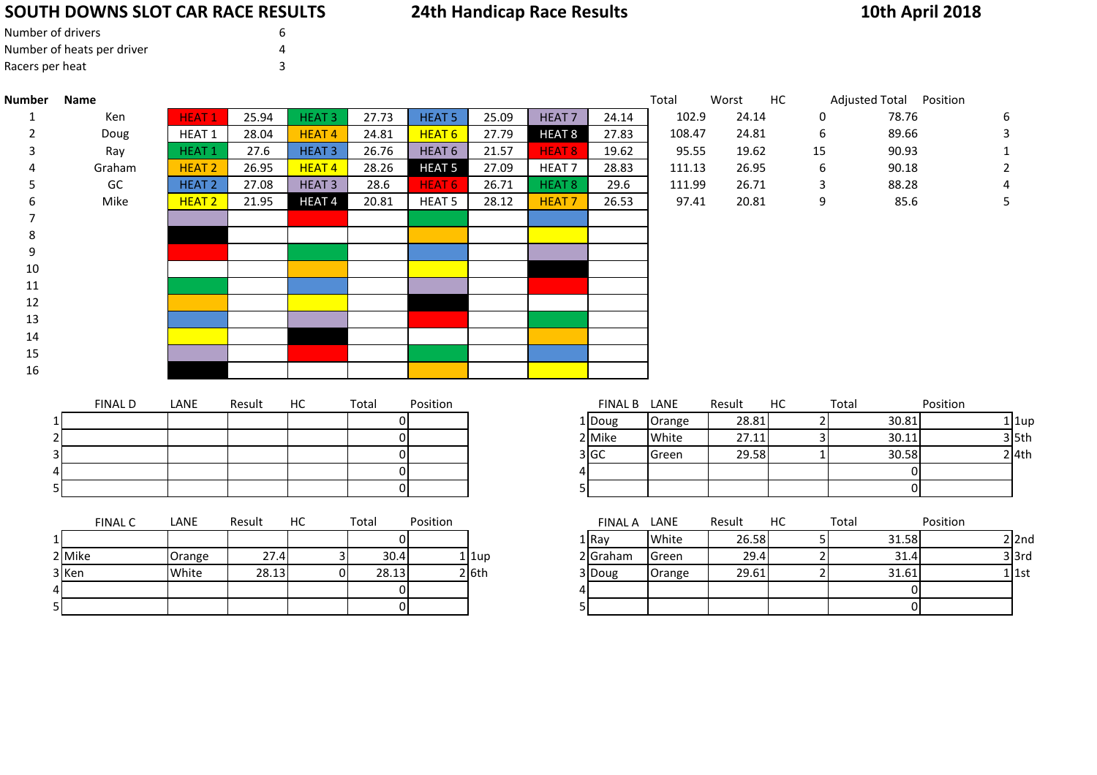# **SOUTH DOWNS SLOT CAR RACE RESULTS**

|  | <b>24th Handicap Race Results</b> |  |  |
|--|-----------------------------------|--|--|
|--|-----------------------------------|--|--|

# **10th April 2018**

| Number of drivers          | h |
|----------------------------|---|
| Number of heats per driver |   |
| Racers per heat            |   |

| <b>Number</b> | Name           |                   |        |                   |       |                   |       |                   |                | Total     | Worst  | HC | Adjusted Total Position |          |   |
|---------------|----------------|-------------------|--------|-------------------|-------|-------------------|-------|-------------------|----------------|-----------|--------|----|-------------------------|----------|---|
|               | Ken            | HEAT <sub>1</sub> | 25.94  | HEAT <sub>3</sub> | 27.73 | <b>HEAT 5</b>     | 25.09 | HEAT <sub>7</sub> | 24.14          | 102.9     | 24.14  | 0  | 78.76                   |          | 6 |
| 2             | Doug           | HEAT 1            | 28.04  | <b>HEAT4</b>      | 24.81 | <b>HEAT 6</b>     | 27.79 | HEAT <sub>8</sub> | 27.83          | 108.47    | 24.81  | 6  | 89.66                   |          |   |
| 3             | Ray            | HEAT <sub>1</sub> | 27.6   | <b>HEAT3</b>      | 26.76 | HEAT <sub>6</sub> | 21.57 | HEAT 8            | 19.62          | 95.55     | 19.62  | 15 | 90.93                   |          |   |
| 4             | Graham         | <b>HEAT 2</b>     | 26.95  | <b>HEAT4</b>      | 28.26 | <b>HEAT 5</b>     | 27.09 | HEAT <sub>7</sub> | 28.83          | 111.13    | 26.95  | 6  | 90.18                   |          |   |
| 5             | GC             | HEAT <sub>2</sub> | 27.08  | HEAT <sub>3</sub> | 28.6  | HEAT <sub>6</sub> | 26.71 | HEAT 8            | 29.6           | 111.99    | 26.71  | 3  | 88.28                   |          |   |
| 6             | Mike           | HEAT <sub>2</sub> | 21.95  | HEAT <sub>4</sub> | 20.81 | HEAT <sub>5</sub> | 28.12 | <b>HEAT7</b>      | 26.53          | 97.41     | 20.81  | 9  | 85.6                    |          | 5 |
| 7             |                |                   |        |                   |       |                   |       |                   |                |           |        |    |                         |          |   |
| 8             |                |                   |        |                   |       |                   |       |                   |                |           |        |    |                         |          |   |
| 9             |                |                   |        |                   |       |                   |       |                   |                |           |        |    |                         |          |   |
| 10            |                |                   |        |                   |       |                   |       |                   |                |           |        |    |                         |          |   |
| 11            |                |                   |        |                   |       |                   |       |                   |                |           |        |    |                         |          |   |
| 12            |                |                   |        |                   |       |                   |       |                   |                |           |        |    |                         |          |   |
| 13            |                |                   |        |                   |       |                   |       |                   |                |           |        |    |                         |          |   |
| 14            |                |                   |        |                   |       |                   |       |                   |                |           |        |    |                         |          |   |
| 15            |                |                   |        |                   |       |                   |       |                   |                |           |        |    |                         |          |   |
| 16            |                |                   |        |                   |       |                   |       |                   |                |           |        |    |                         |          |   |
|               |                |                   |        |                   |       |                   |       |                   |                |           |        |    |                         |          |   |
|               | <b>FINAL D</b> | LANE              | Result | HC                | Total | Position          |       |                   | <b>FINAL B</b> | LANE      | Result | HC | Total                   | Position |   |
|               |                |                   |        |                   | ΩL    |                   |       |                   | $1$ Doug       | $O$ range | 28.81  | 21 | 30.81                   |          |   |

|    | FINAL D | LANE | Result | HC. | Total | Position | FINAL B | LANE   | Result | HC | Total |
|----|---------|------|--------|-----|-------|----------|---------|--------|--------|----|-------|
|    |         |      |        |     |       |          | 1 Doug  | Orange | 28.81  |    | 30.81 |
|    |         |      |        |     |       |          | 2 Mike  | White  | 27.11  |    | 30.11 |
| 31 |         |      |        |     |       |          | 3 GC    | Green  | 29.58  |    | 30.58 |
| 41 |         |      |        |     |       |          |         |        |        |    |       |
| וכ |         |      |        |     |       |          |         |        |        |    |       |
|    |         |      |        |     |       |          |         |        |        |    |       |

|                | <b>FINAL C</b> | LANE   | Result | нc | Total | Position | FINAL A              | LANE   | Result | НC | Totai |
|----------------|----------------|--------|--------|----|-------|----------|----------------------|--------|--------|----|-------|
|                |                |        |        |    |       |          | 1   Rav              | White  | 26.58  |    | 31.58 |
|                | 2 Mike         | Orange | 27.4   |    | 30.4  |          | 2 Graham<br>$1$  1up | Green  | 29.4   |    | 31.4  |
|                | 3 Ken          | White  | 28.13  |    | 28.13 |          | $2$ 6th<br>3 Doug    | Orange | 29.61  |    | 31.61 |
| $\overline{4}$ |                |        |        |    |       |          |                      |        |        |    |       |
|                |                |        |        |    |       |          |                      |        |        |    |       |

| <b>FINAL D</b> | LANE | Result | HC | Total | Position | <b>FINAL B</b>   | LANE   | Result | HC | Total | Position |
|----------------|------|--------|----|-------|----------|------------------|--------|--------|----|-------|----------|
|                |      |        |    |       |          | l Doug           | Orange | 28.81  |    | 30.81 | $1$  1up |
|                |      |        |    |       |          | 2 Mike           | White  | 27.11  |    | 30.11 | $3$ 5th  |
|                |      |        |    |       |          | 3 <sub>IGC</sub> | Green  | 29.58  |    | 30.58 | $2$ 4th  |
|                |      |        |    |       |          |                  |        |        |    |       |          |
|                |      |        |    |       |          |                  |        |        |    |       |          |

| <b>FINAL C</b> | LANE   | Result | НC | Total | Position |          | <b>FINAL A</b> | LANE         | Result | HC | Total | Position |
|----------------|--------|--------|----|-------|----------|----------|----------------|--------------|--------|----|-------|----------|
|                |        |        |    |       |          |          | 1 I Rav        | White        | 26.58  |    | 31.58 | $2$  2nd |
| 2 Mike         | Orange | 27.4   |    | 30.4  |          | $1$  1up | 2 Graham       | <b>Green</b> | 29.4   |    | 31.4  | 3 3rd    |
| 3 Ken          | White  | 28.13  |    | 28.13 |          | $2$ 6th  | 3 Doug         | Orange       | 29.61  |    | 31.61 | 1 l 1st  |
|                |        |        |    |       |          |          |                |              |        |    |       |          |
|                |        |        |    |       |          |          |                |              |        |    |       |          |